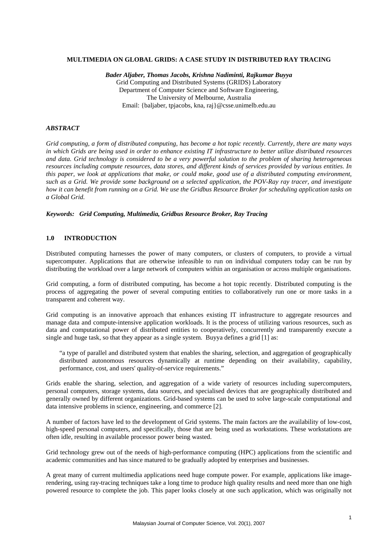#### **MULTIMEDIA ON GLOBAL GRIDS: A CASE STUDY IN DISTRIBUTED RAY TRACING**

*Bader Aljaber, Thomas Jacobs, Krishna Nadiminti, Rajkumar Buyya*  [Grid Computing and Distributed Systems \(GRIDS\) Laboratory](http://www.gridbus.org/)  [Department of Computer Science and Software Engineering](http://www.cs.mu.oz.au/), [The University of Melbourne,](http://www.unimelb.edu.au/) Australia Email: {baljaber, tpjacobs, kna, raj}@csse.unimelb.edu.au

### *ABSTRACT*

*Grid computing, a form of distributed computing, has become a hot topic recently. Currently, there are many ways in which Grids are being used in order to enhance existing IT infrastructure to better utilize distributed resources and data. Grid technology is considered to be a very powerful solution to the problem of sharing heterogeneous resources including compute resources, data stores, and different kinds of services provided by various entities. In this paper, we look at applications that make, or could make, good use of a distributed computing environment, such as a Grid. We provide some background on a selected application, the POV-Ray ray tracer, and investigate how it can benefit from running on a Grid. We use the Gridbus Resource Broker for scheduling application tasks on a Global Grid.* 

*Keywords: Grid Computing, Multimedia, Gridbus Resource Broker, Ray Tracing* 

#### **1.0 INTRODUCTION**

Distributed computing harnesses the power of many computers, or clusters of computers, to provide a virtual supercomputer. Applications that are otherwise infeasible to run on individual computers today can be run by distributing the workload over a large network of computers within an organisation or across multiple organisations.

Grid computing, a form of distributed computing, has become a hot topic recently. Distributed computing is the process of aggregating the power of several computing entities to collaboratively run one or more tasks in a transparent and coherent way.

Grid computing is an innovative approach that enhances existing IT infrastructure to aggregate resources and manage data and compute-intensive application workloads. It is the process of utilizing various resources, such as data and computational power of distributed entities to cooperatively, concurrently and transparently execute a single and huge task, so that they appear as a single system. Buyya defines a grid [1] as:

"a type of parallel and distributed system that enables the sharing, selection, and aggregation of geographically distributed autonomous resources dynamically at runtime depending on their availability, capability, performance, cost, and users' quality-of-service requirements."

Grids enable the sharing, selection, and aggregation of a wide variety of resources including supercomputers, personal computers, storage systems, data sources, and specialised devices that are geographically distributed and generally owned by different organizations. Grid-based systems can be used to solve large-scale computational and data intensive problems in science, engineering, and commerce [2].

A number of factors have led to the development of Grid systems. The main factors are the availability of low-cost, high-speed personal computers, and specifically, those that are being used as workstations. These workstations are often idle, resulting in available processor power being wasted.

Grid technology grew out of the needs of high-performance computing (HPC) applications from the scientific and academic communities and has since matured to be gradually adopted by enterprises and businesses.

A great many of current multimedia applications need huge compute power. For example, applications like imagerendering, using ray-tracing techniques take a long time to produce high quality results and need more than one high powered resource to complete the job. This paper looks closely at one such application, which was originally not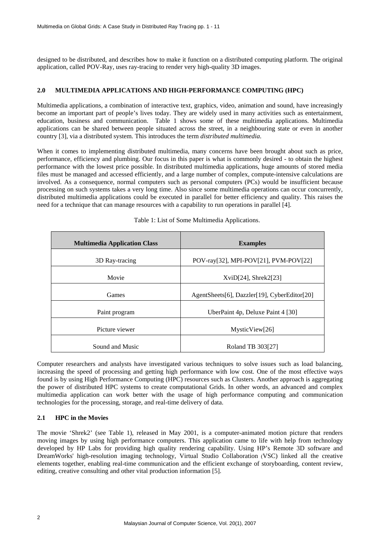designed to be distributed, and describes how to make it function on a distributed computing platform. The original application, called POV-Ray, uses ray-tracing to render very high-quality 3D images.

# **2.0 MULTIMEDIA APPLICATIONS AND HIGH-PERFORMANCE COMPUTING (HPC)**

Multimedia applications, a combination of interactive text, graphics, video, animation and sound, have increasingly become an important part of people's lives today. They are widely used in many activities such as entertainment, education, business and communication. Table 1 shows some of these multimedia applications. Multimedia applications can be shared between people situated across the street, in a neighbouring state or even in another country [3], via a distributed system. This introduces the term *distributed multimedia*.

When it comes to implementing distributed multimedia, many concerns have been brought about such as price, performance, efficiency and plumbing. Our focus in this paper is what is commonly desired - to obtain the highest performance with the lowest price possible. In distributed multimedia applications, huge amounts of stored media files must be managed and accessed efficiently, and a large number of complex, compute-intensive calculations are involved. As a consequence, normal computers such as personal computers (PCs) would be insufficient because processing on such systems takes a very long time. Also since some multimedia operations can occur concurrently, distributed multimedia applications could be executed in parallel for better efficiency and quality. This raises the need for a technique that can manage resources with a capability to run operations in parallel [4].

| <b>Multimedia Application Class</b> | <b>Examples</b>                              |  |
|-------------------------------------|----------------------------------------------|--|
| 3D Ray-tracing                      | POV-ray[32], MPI-POV[21], PVM-POV[22]        |  |
| Movie                               | $XviD[24]$ , Shrek $2[23]$                   |  |
| Games                               | AgentSheets[6], Dazzler[19], CyberEditor[20] |  |
| Paint program                       | UberPaint 4p, Deluxe Paint 4 [30]            |  |
| Picture viewer                      | MysticView[26]                               |  |
| Sound and Music                     | Roland TB 303[27]                            |  |

|  |  |  |  | Table 1: List of Some Multimedia Applications. |
|--|--|--|--|------------------------------------------------|
|--|--|--|--|------------------------------------------------|

Computer researchers and analysts have investigated various techniques to solve issues such as load balancing, increasing the speed of processing and getting high performance with low cost. One of the most effective ways found is by using High Performance Computing (HPC) resources such as Clusters. Another approach is aggregating the power of distributed HPC systems to create computational Grids. In other words, an advanced and complex multimedia application can work better with the usage of high performance computing and communication technologies for the processing, storage, and real-time delivery of data.

# **2.1 HPC in the Movies**

The movie 'Shrek2' (see Table 1), released in May 2001, is a computer-animated motion picture that renders moving images by using high performance computers. This application came to life with help from technology developed by HP Labs for providing high quality rendering capability. Using HP's Remote 3D software and DreamWorks' high-resolution imaging technology, Virtual Studio Collaboration (VSC) linked all the creative elements together, enabling real-time communication and the efficient exchange of storyboarding, content review, editing, creative consulting and other vital production information [5].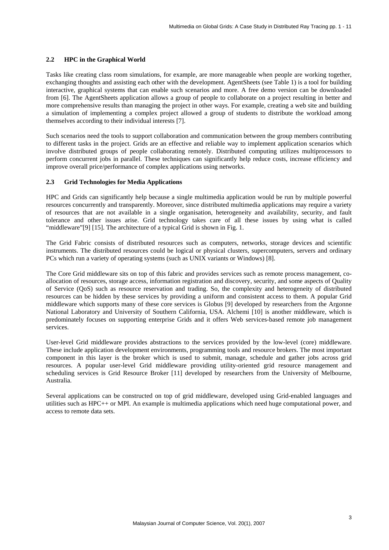### **2.2 HPC in the Graphical World**

Tasks like creating class room simulations, for example, are more manageable when people are working together, exchanging thoughts and assisting each other with the development. AgentSheets (see Table 1) is a tool for building interactive, graphical systems that can enable such scenarios and more. A free demo version can be downloaded from [6]. The AgentSheets application allows a group of people to collaborate on a project resulting in better and more comprehensive results than managing the project in other ways. For example, creating a web site and building a simulation of implementing a complex project allowed a group of students to distribute the workload among themselves according to their individual interests [7].

Such scenarios need the tools to support collaboration and communication between the group members contributing to different tasks in the project. Grids are an effective and reliable way to implement application scenarios which involve distributed groups of people collaborating remotely. Distributed computing utilizes multiprocessors to perform concurrent jobs in parallel. These techniques can significantly help reduce costs, increase efficiency and improve overall price/performance of complex applications using networks.

## **2.3 Grid Technologies for Media Applications**

HPC and Grids can significantly help because a single multimedia application would be run by multiple powerful resources concurrently and transparently. Moreover, since distributed multimedia applications may require a variety of resources that are not available in a single organisation, heterogeneity and availability, security, and fault tolerance and other issues arise. Grid technology takes care of all these issues by using what is called "middleware"[\[9\]](#page-9-0) [\[15\].](#page-9-1) The architecture of a typical Grid is shown in Fig. 1.

The Grid Fabric consists of distributed resources such as computers, networks, storage devices and scientific instruments. The distributed resources could be logical or physical clusters, supercomputers, servers and ordinary PCs which run a variety of operating systems (such as UNIX variants or Windows) [8].

The Core Grid middleware sits on top of this fabric and provides services such as remote process management, coallocation of resources, storage access, information registration and discovery, security, and some aspects of Quality of Service (QoS) such as resource reservation and trading. So, the complexity and heterogeneity of distributed resources can be hidden by these services by providing a uniform and consistent access to them. A popular Grid middleware which supports many of these core services is Globus [9] developed by researchers from the Argonne National Laboratory and University of Southern California, USA. Alchemi [10] is another middleware, which is predominately focuses on supporting enterprise Grids and it offers Web services-based remote job management services.

User-level Grid middleware provides abstractions to the services provided by the low-level (core) middleware. These include application development environments, programming tools and resource brokers. The most important component in this layer is the broker which is used to submit, manage, schedule and gather jobs across grid resources. A popular user-level Grid middleware providing utility-oriented grid resource management and scheduling services is Grid Resource Broker [11] developed by researchers from the University of Melbourne, Australia.

Several applications can be constructed on top of grid middleware, developed using Grid-enabled languages and utilities such as HPC++ or MPI. An example is multimedia applications which need huge computational power, and access to remote data sets.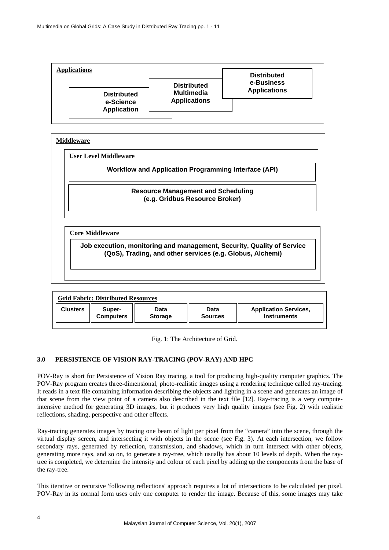

| <b>User Level Middleware</b>                                                                                                        |
|-------------------------------------------------------------------------------------------------------------------------------------|
| <b>Workflow and Application Programming Interface (API)</b>                                                                         |
| <b>Resource Management and Scheduling</b><br>(e.g. Gridbus Resource Broker)                                                         |
| <b>Core Middleware</b>                                                                                                              |
| Job execution, monitoring and management, Security, Quality of Service<br>(QoS), Trading, and other services (e.g. Globus, Alchemi) |

| <b>Grid Fabric: Distributed Resources</b> |                  |                |                |                              |  |
|-------------------------------------------|------------------|----------------|----------------|------------------------------|--|
| <b>Clusters</b>                           | Super-           | Data           | Data           | <b>Application Services,</b> |  |
|                                           | <b>Computers</b> | <b>Storage</b> | <b>Sources</b> | <b>Instruments</b>           |  |

Fig. 1: The Architecture of Grid.

# **3.0 PERSISTENCE OF VISION RAY-TRACING (POV-RAY) AND HPC**

POV-Ray is short for Persistence of Vision Ray tracing, a tool for producing high-quality computer graphics. The POV-Ray program creates three-dimensional, photo-realistic images using a rendering technique called ray-tracing. It reads in a text file containing information describing the objects and lighting in a scene and generates an image of that scene from the view point of a camera also described in the text file [12]. Ray-tracing is a very computeintensive method for generating 3D images, but it produces very high quality images (see Fig. 2) with realistic reflections, shading, perspective and other effects.

Ray-tracing generates images by tracing one beam of light per pixel from the "camera" into the scene, through the virtual display screen, and intersecting it with objects in the scene (see Fig. 3). At each intersection, we follow secondary rays, generated by reflection, transmission, and shadows, which in turn intersect with other objects, generating more rays, and so on, to generate a ray-tree, which usually has about 10 levels of depth. When the raytree is completed, we determine the intensity and colour of each pixel by adding up the components from the base of the ray-tree.

This iterative or recursive 'following reflections' approach requires a lot of intersections to be calculated per pixel. POV-Ray in its normal form uses only one computer to render the image. Because of this, some images may take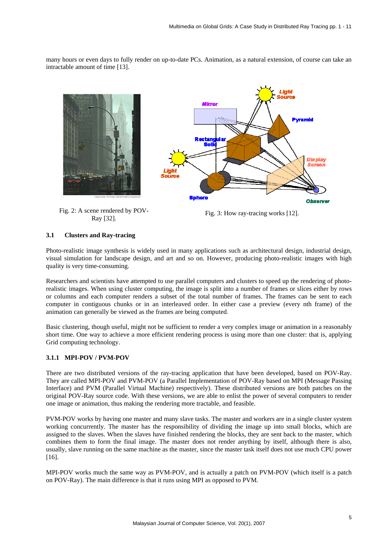many hours or even days to fully render on up-to-date PCs. Animation, as a natural extension, of course can take an intractable amount of time [13].





Fig. 2: A scene rendered by POV-Example 18 rendered by POV-<br>
Fig. 3: How ray-tracing works [12].<br>
Ray [32].

# **3.1 Clusters and Ray-tracing**

Photo-realistic image synthesis is widely used in many applications such as architectural design, industrial design, visual simulation for landscape design, and art and so on. However, producing photo-realistic images with high quality is very time-consuming.

Researchers and scientists have attempted to use parallel computers and clusters to speed up the rendering of photorealistic images. When using cluster computing, the image is split into a number of frames or slices either by rows or columns and each computer renders a subset of the total number of frames. The frames can be sent to each computer in contiguous chunks or in an interleaved order. In either case a preview (every nth frame) of the animation can generally be viewed as the frames are being computed.

Basic clustering, though useful, might not be sufficient to render a very complex image or animation in a reasonably short time. One way to achieve a more efficient rendering process is using more than one cluster: that is, applying Grid computing technology.

# **3.1.1 MPI-POV / PVM-POV**

There are two distributed versions of the ray-tracing application that have been developed, based on POV-Ray. They are called MPI-POV and PVM-POV (a Parallel Implementation of POV-Ray based on MPI (Message Passing Interface) and PVM (Parallel Virtual Machine) respectively). These distributed versions are both patches on the original POV-Ray source code. With these versions, we are able to enlist the power of several computers to render one image or animation, thus making the rendering more tractable, and feasible.

PVM-POV works by having one master and many slave tasks. The master and workers are in a single cluster system working concurrently. The master has the responsibility of dividing the image up into small blocks, which are assigned to the slaves. When the slaves have finished rendering the blocks, they are sent back to the master, which combines them to form the final image. The master does not render anything by itself, although there is also, usually, slave running on the same machine as the master, since the master task itself does not use much CPU power [16].

MPI-POV works much the same way as PVM-POV, and is actually a patch on PVM-POV (which itself is a patch on POV-Ray). The main difference is that it runs using MPI as opposed to PVM.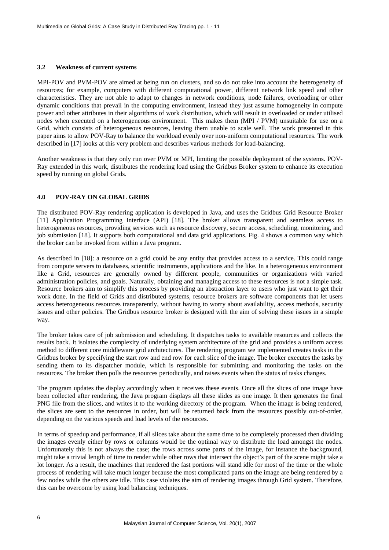#### **3.2 Weakness of current systems**

MPI-POV and PVM-POV are aimed at being run on clusters, and so do not take into account the heterogeneity of resources; for example, computers with different computational power, different network link speed and other characteristics. They are not able to adapt to changes in network conditions, node failures, overloading or other dynamic conditions that prevail in the computing environment, instead they just assume homogeneity in compute power and other attributes in their algorithms of work distribution, which will result in overloaded or under utilised nodes when executed on a heterogeneous environment. This makes them (MPI / PVM) unsuitable for use on a Grid, which consists of heterogeneous resources, leaving them unable to scale well. The work presented in this paper aims to allow POV-Ray to balance the workload evenly over non-uniform computational resources. The work described in [17] looks at this very problem and describes various methods for load-balancing.

Another weakness is that they only run over PVM or MPI, limiting the possible deployment of the systems. POV-Ray extended in this work, distributes the rendering load using the Gridbus Broker system to enhance its execution speed by running on global Grids.

# **4.0 POV-RAY ON GLOBAL GRIDS**

The distributed POV-Ray rendering application is developed in Java, and uses the Gridbus Grid Resource Broker [11] Application Programming Interface (API) [18]. The broker allows transparent and seamless access to heterogeneous resources, providing services such as resource discovery, secure access, scheduling, monitoring, and job submission [18]. It supports both computational and data grid applications. Fig. 4 shows a common way which the broker can be invoked from within a Java program.

As described in [18]: a resource on a grid could be any entity that provides access to a service. This could range from compute servers to databases, scientific instruments, applications and the like. In a heterogeneous environment like a Grid, resources are generally owned by different people, communities or organizations with varied administration policies, and goals. Naturally, obtaining and managing access to these resources is not a simple task. Resource brokers aim to simplify this process by providing an abstraction layer to users who just want to get their work done. In the field of Grids and distributed systems, resource brokers are software components that let users access heterogeneous resources transparently, without having to worry about availability, access methods, security issues and other policies. The Gridbus resource broker is designed with the aim of solving these issues in a simple way.

The broker takes care of job submission and scheduling. It dispatches tasks to available resources and collects the results back. It isolates the complexity of underlying system architecture of the grid and provides a uniform access method to different core middleware grid architectures. The rendering program we implemented creates tasks in the Gridbus broker by specifying the start row and end row for each slice of the image. The broker executes the tasks by sending them to its dispatcher module, which is responsible for submitting and monitoring the tasks on the resources. The broker then polls the resources periodically, and raises events when the status of tasks changes.

The program updates the display accordingly when it receives these events. Once all the slices of one image have been collected after rendering, the Java program displays all these slides as one image. It then generates the final PNG file from the slices, and writes it to the working directory of the program. When the image is being rendered, the slices are sent to the resources in order, but will be returned back from the resources possibly out-of-order, depending on the various speeds and load levels of the resources.

In terms of speedup and performance, if all slices take about the same time to be completely processed then dividing the images evenly either by rows or columns would be the optimal way to distribute the load amongst the nodes. Unfortunately this is not always the case; the rows across some parts of the image, for instance the background, might take a trivial length of time to render while other rows that intersect the object's part of the scene might take a lot longer. As a result, the machines that rendered the fast portions will stand idle for most of the time or the whole process of rendering will take much longer because the most complicated parts on the image are being rendered by a few nodes while the others are idle. This case violates the aim of rendering images through Grid system. Therefore, this can be overcome by using load balancing techniques.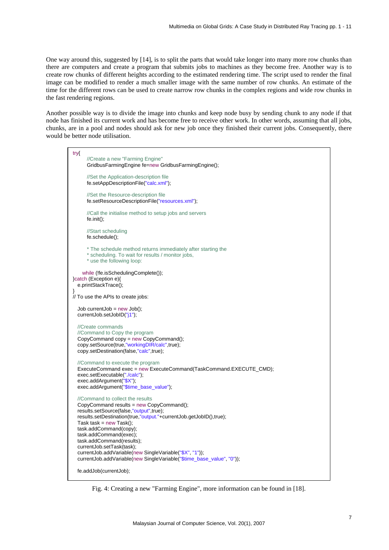One way around this, suggested by [\[14\]](#page-9-2), is to split the parts that would take longer into many more row chunks than there are computers and create a program that submits jobs to machines as they become free. Another way is to create row chunks of different heights according to the estimated rendering time. The script used to render the final image can be modified to render a much smaller image with the same number of row chunks. An estimate of the time for the different rows can be used to create narrow row chunks in the complex regions and wide row chunks in the fast rendering regions.

Another possible way is to divide the image into chunks and keep node busy by sending chunk to any node if that node has finished its current work and has become free to receive other work. In other words, assuming that all jobs, chunks, are in a pool and nodes should ask for new job once they finished their current jobs. Consequently, there would be better node utilisation.



Fig. 4: Creating a new "Farming Engine", more information can be found in [18].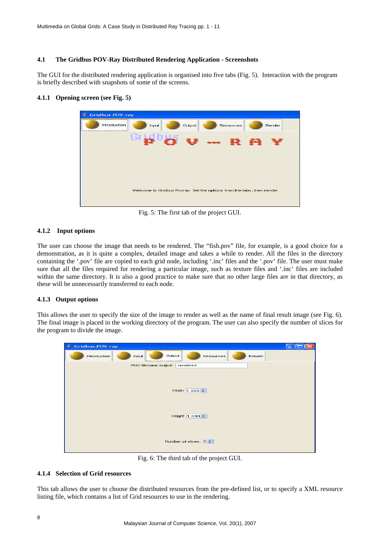## **4.1 The Gridbus POV-Ray Distributed Rendering Application - Screenshots**

The GUI for the distributed rendering application is organised into five tabs (Fig. 5). Interaction with the program is briefly described with snapshots of some of the screens.

# **4.1.1 Opening screen (see Fig. 5)**

| <b>Gridbus POV-ray</b><br>رڪ |                                                                        |  |  |  |  |
|------------------------------|------------------------------------------------------------------------|--|--|--|--|
| Introduction                 | Output<br>Resources<br>Render<br>Input                                 |  |  |  |  |
| -- 22 23                     |                                                                        |  |  |  |  |
|                              | Welcome to Gridbus Povray. Set the options from the tabs, then render. |  |  |  |  |

Fig. 5: The first tab of the project GUI.

# **4.1.2 Input options**

The user can choose the image that needs to be rendered. The "fish.pov" file, for example, is a good choice for a demonstration, as it is quite a complex, detailed image and takes a while to render. All the files in the directory containing the '.pov' file are copied to each grid node, including '.inc' files and the '.pov' file. The user must make sure that all the files required for rendering a particular image, such as texture files and '.inc' files are included within the same directory. It is also a good practice to make sure that no other large files are in that directory, as these will be unnecessarily transferred to each node.

## **4.1.3 Output options**

This allows the user to specify the size of the image to render as well as the name of final result image (see Fig. 6). The final image is placed in the working directory of the program. The user can also specify the number of slices for the program to divide the image.

| ≜<br><b>Gridbus POV-ray</b>    |                               |                                        |           |        |  |  |  |
|--------------------------------|-------------------------------|----------------------------------------|-----------|--------|--|--|--|
| Introduction                   | Input                         | <br>Output<br><u> ISBN 978-8-000 1</u> | Resources | Render |  |  |  |
|                                | PNG filename output: rendered |                                        |           |        |  |  |  |
|                                |                               |                                        |           |        |  |  |  |
|                                |                               |                                        |           |        |  |  |  |
|                                |                               |                                        |           |        |  |  |  |
|                                | Width 1,000 $\Leftrightarrow$ |                                        |           |        |  |  |  |
|                                |                               |                                        |           |        |  |  |  |
|                                |                               |                                        |           |        |  |  |  |
|                                |                               |                                        |           |        |  |  |  |
| Height 1,000 $\Leftrightarrow$ |                               |                                        |           |        |  |  |  |
|                                |                               |                                        |           |        |  |  |  |
|                                |                               |                                        |           |        |  |  |  |
|                                |                               | Number of slices: $ 5 \rangle$         |           |        |  |  |  |
|                                |                               |                                        |           |        |  |  |  |
|                                |                               |                                        |           |        |  |  |  |

Fig. 6: The third tab of the project GUI.

## **4.1.4 Selection of Grid resources**

This tab allows the user to choose the distributed resources from the pre-defined list, or to specify a XML resource listing file, which contains a list of Grid resources to use in the rendering.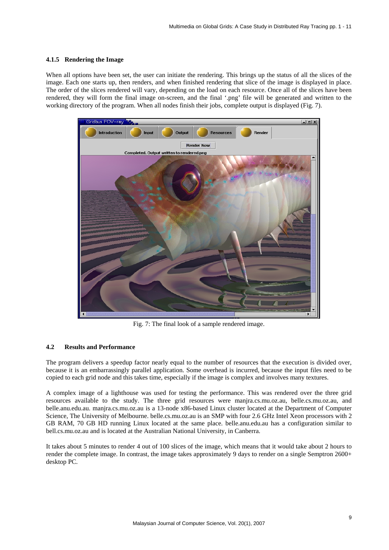#### **4.1.5 Rendering the Image**

When all options have been set, the user can initiate the rendering. This brings up the status of all the slices of the image. Each one starts up, then renders, and when finished rendering that slice of the image is displayed in place. The order of the slices rendered will vary, depending on the load on each resource. Once all of the slices have been rendered, they will form the final image on-screen, and the final '.png' file will be generated and written to the working directory of the program. When all nodes finish their jobs, complete output is displayed (Fig. 7).



Fig. 7: The final look of a sample rendered image.

## **4.2 Results and Performance**

The program delivers a speedup factor nearly equal to the number of resources that the execution is divided over, because it is an embarrassingly parallel application. Some overhead is incurred, because the input files need to be copied to each grid node and this takes time, especially if the image is complex and involves many textures.

A complex image of a lighthouse was used for testing the performance. This was rendered over the three grid resources available to the study. The three grid resources were manjra.cs.mu.oz.au, belle.cs.mu.oz.au, and belle.anu.edu.au. manjra.cs.mu.oz.au is a 13-node x86-based Linux cluster located at the Department of Computer Science, The University of Melbourne. belle.cs.mu.oz.au is an SMP with four 2.6 GHz Intel Xeon processors with 2 GB RAM, 70 GB HD running Linux located at the same place. belle.anu.edu.au has a configuration similar to bell.cs.mu.oz.au and is located at the Australian National University, in Canberra.

It takes about 5 minutes to render 4 out of 100 slices of the image, which means that it would take about 2 hours to render the complete image. In contrast, the image takes approximately 9 days to render on a single Semptron 2600+ desktop PC.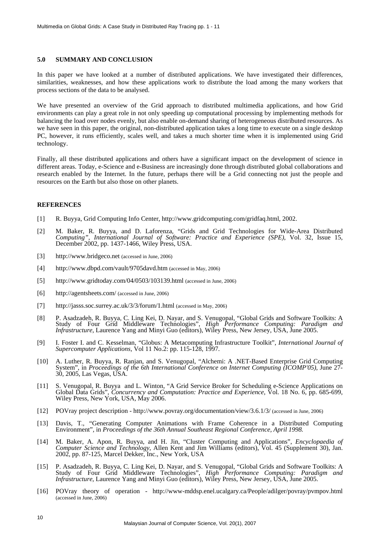#### **5.0 SUMMARY AND CONCLUSION**

In this paper we have looked at a number of distributed applications. We have investigated their differences, similarities, weaknesses, and how these applications work to distribute the load among the many workers that process sections of the data to be analysed.

We have presented an overview of the Grid approach to distributed multimedia applications, and how Grid environments can play a great role in not only speeding up computational processing by implementing methods for balancing the load over nodes evenly, but also enable on-demand sharing of heterogeneous distributed resources. As we have seen in this paper, the original, non-distributed application takes a long time to execute on a single desktop PC, however, it runs efficiently, scales well, and takes a much shorter time when it is implemented using Grid technology.

Finally, all these distributed applications and others have a significant impact on the development of science in different areas. Today, e-Science and e-Business are increasingly done through distributed global collaborations and research enabled by the Internet. In the future, perhaps there will be a Grid connecting not just the people and resources on the Earth but also those on other planets.

#### **REFERENCES**

- [1] R. Buyya, Grid Computing Info Center, http://www.gridcomputing.com/gridfaq.html, 2002.
- [2] M. Baker, R. Buyya, and D. Laforenza, "Grids and Grid Technologies for Wide-Area Distributed *Computing", International Journal of Software: Practice and Experience (SPE)*, Vol. 32, Issue 15, December 2002, pp. 1437-1466, Wiley Press, USA.
- [3] http://www.bridgeco.net (accessed in June, 2006)
- [4] http://www.dbpd.com/vault/9705davd.htm (accessed in May, 2006)
- [5] http://www.gridtoday.com/04/0503/103139.html (accessed in June, 2006)
- [6] http://agentsheets.com/ (accessed in June, 2006)
- [7] http://jasss.soc.surrey.ac.uk/3/3/forum/1.html (accessed in May, 2006)
- [8] P. Asadzadeh, R. Buyya, C. Ling Kei, D. Nayar, and S. Venugopal, "Global Grids and Software Toolkits: A Study of Four Grid Middleware Technologies", *High Performance Computing: Paradigm and Infrastructure*, Laurence Yang and Minyi Guo (editors), Wiley Press, New Jersey, USA, June 2005.
- <span id="page-9-0"></span>[9] I. Foster I. and C. Kesselman, "Globus: A Metacomputing Infrastructure Toolkit", *International Journal of Supercomputer Applications,* Vol 11 No.2: pp. 115-128, 1997.
- [10] A. Luther, R. Buyya, R. Ranjan, and S. Venugopal, "Alchemi: A .NET-Based Enterprise Grid Computing System", in *Proceedings of the 6th International Conference on Internet Computing (ICOMP'05)*, June 27- 30, 2005, Las Vegas, USA.
- [11] S. Venugopal, R. Buyya and L. Winton, "A Grid Service Broker for Scheduling e-Science Applications on Global Data Grids", *Concurrency and Computation: Practice and Experience*, Vol. 18 No. 6, pp. 685-699, Wiley Press, New York, USA, May 2006.
- [12] POVray project description http://www.povray.org/documentation/view/3.6.1/3/ (accessed in June, 2006)
- [13] Davis, T., "Generating Computer Animations with Frame Coherence in a Distributed Computing Environment"*,* in *Proceedings of the 36th Annual Southeast Regional Conference, April 1998.*
- <span id="page-9-2"></span>[14] M. Baker, A. Apon, R. Buyya, and H. Jin, "Cluster Computing and Applications", *Encyclopaedia of Computer Science and Technology*, Allen Kent and Jim Williams (editors), Vol. 45 (Supplement 30), Jan. 2002, pp. 87-125, Marcel Dekker, Inc., New York, USA
- <span id="page-9-1"></span>[15] P. Asadzadeh, R. Buyya, C. Ling Kei, D. Nayar, and S. Venugopal, "Global Grids and Software Toolkits: A Study of Four Grid Middleware Technologies", *High Performance Computing: Paradigm and Infrastructure*, Laurence Yang and Minyi Guo (editors), Wiley Press, New Jersey, USA, June 2005.
- [16] POVray theory of operation http://www-mddsp.enel.ucalgary.ca/People/adilger/povray/pvmpov.html (accessed in June, 2006)